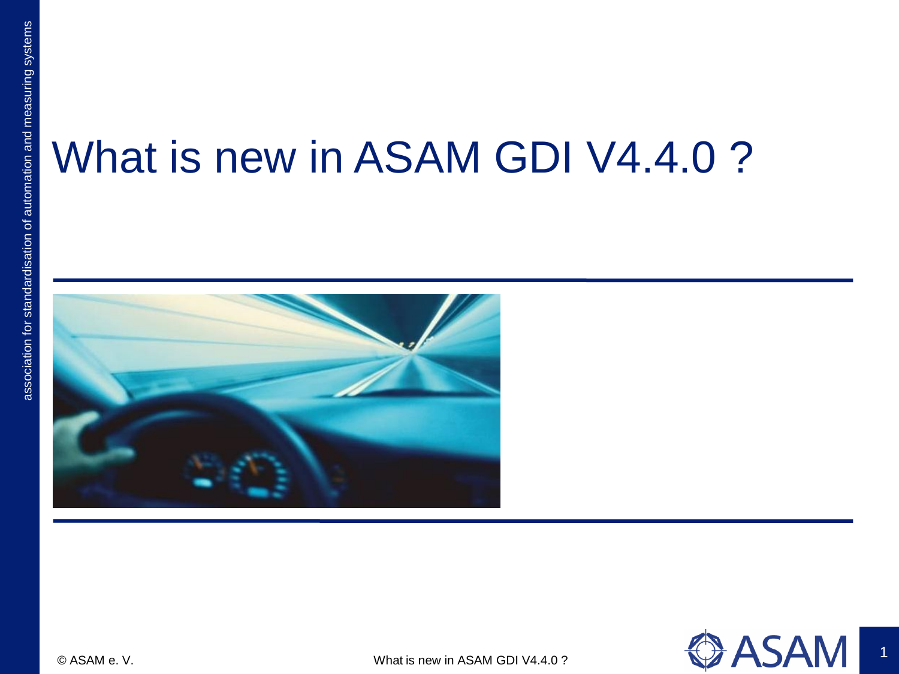## What is new in ASAM GDI V4.4.0 ?



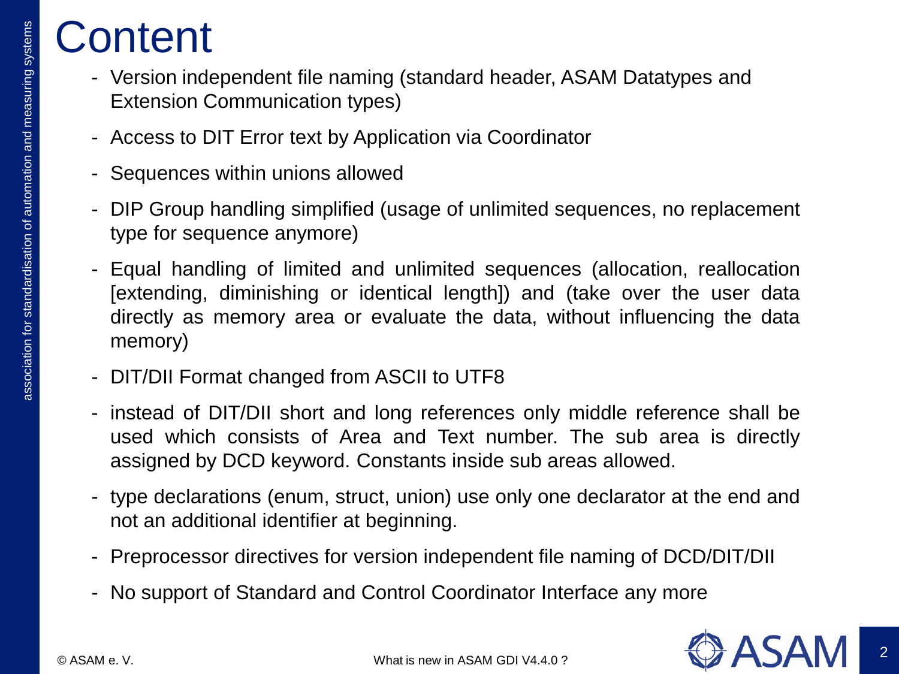## **Content**

- Version independent file naming (standard header, ASAM Datatypes and Extension Communication types)
- Access to DIT Error text by Application via Coordinator
- Sequences within unions allowed
- DIP Group handling simplified (usage of unlimited sequences, no replacement type for sequence anymore)
- Equal handling of limited and unlimited sequences (allocation, reallocation [extending, diminishing or identical length]) and (take over the user data directly as memory area or evaluate the data, without influencing the data memory)
- DIT/DII Format changed from ASCII to UTF8
- instead of DIT/DII short and long references only middle reference shall be used which consists of Area and Text number. The sub area is directly assigned by DCD keyword. Constants inside sub areas allowed.
- type declarations (enum, struct, union) use only one declarator at the end and not an additional identifier at beginning.
- Preprocessor directives for version independent file naming of DCD/DIT/DII
- No support of Standard and Control Coordinator Interface any more

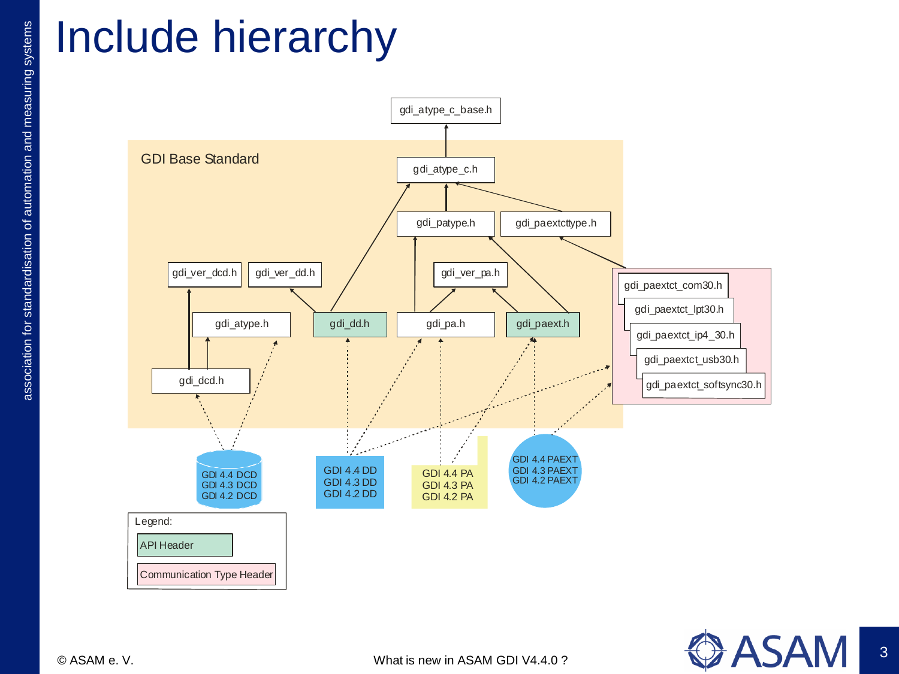## Include hierarchy